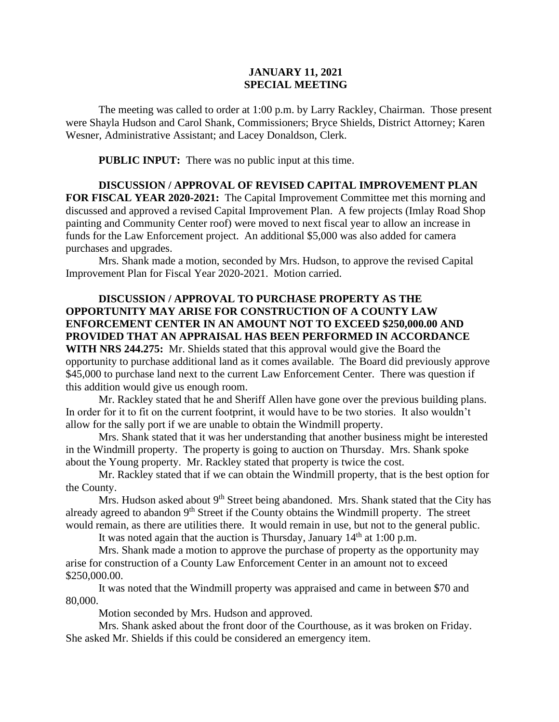## **JANUARY 11, 2021 SPECIAL MEETING**

The meeting was called to order at 1:00 p.m. by Larry Rackley, Chairman. Those present were Shayla Hudson and Carol Shank, Commissioners; Bryce Shields, District Attorney; Karen Wesner, Administrative Assistant; and Lacey Donaldson, Clerk.

 **PUBLIC INPUT:** There was no public input at this time.

**DISCUSSION / APPROVAL OF REVISED CAPITAL IMPROVEMENT PLAN FOR FISCAL YEAR 2020-2021:** The Capital Improvement Committee met this morning and discussed and approved a revised Capital Improvement Plan. A few projects (Imlay Road Shop painting and Community Center roof) were moved to next fiscal year to allow an increase in funds for the Law Enforcement project. An additional \$5,000 was also added for camera purchases and upgrades.

Mrs. Shank made a motion, seconded by Mrs. Hudson, to approve the revised Capital Improvement Plan for Fiscal Year 2020-2021. Motion carried.

## **DISCUSSION / APPROVAL TO PURCHASE PROPERTY AS THE OPPORTUNITY MAY ARISE FOR CONSTRUCTION OF A COUNTY LAW ENFORCEMENT CENTER IN AN AMOUNT NOT TO EXCEED \$250,000.00 AND PROVIDED THAT AN APPRAISAL HAS BEEN PERFORMED IN ACCORDANCE**

**WITH NRS 244.275:** Mr. Shields stated that this approval would give the Board the opportunity to purchase additional land as it comes available. The Board did previously approve \$45,000 to purchase land next to the current Law Enforcement Center. There was question if this addition would give us enough room.

Mr. Rackley stated that he and Sheriff Allen have gone over the previous building plans. In order for it to fit on the current footprint, it would have to be two stories. It also wouldn't allow for the sally port if we are unable to obtain the Windmill property.

Mrs. Shank stated that it was her understanding that another business might be interested in the Windmill property. The property is going to auction on Thursday. Mrs. Shank spoke about the Young property. Mr. Rackley stated that property is twice the cost.

Mr. Rackley stated that if we can obtain the Windmill property, that is the best option for the County.

Mrs. Hudson asked about  $9<sup>th</sup>$  Street being abandoned. Mrs. Shank stated that the City has already agreed to abandon 9<sup>th</sup> Street if the County obtains the Windmill property. The street would remain, as there are utilities there. It would remain in use, but not to the general public.

It was noted again that the auction is Thursday, January  $14<sup>th</sup>$  at 1:00 p.m.

Mrs. Shank made a motion to approve the purchase of property as the opportunity may arise for construction of a County Law Enforcement Center in an amount not to exceed \$250,000.00.

It was noted that the Windmill property was appraised and came in between \$70 and 80,000.

Motion seconded by Mrs. Hudson and approved.

Mrs. Shank asked about the front door of the Courthouse, as it was broken on Friday. She asked Mr. Shields if this could be considered an emergency item.